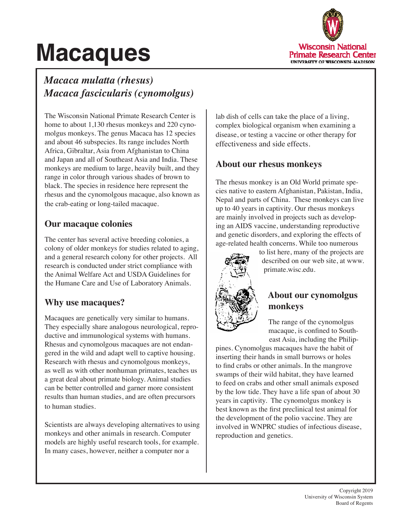# **Macaques**



# *Macaca mulatta (rhesus) Macaca fascicularis (cynomolgus)*

The Wisconsin National Primate Research Center is home to about 1,130 rhesus monkeys and 220 cynomolgus monkeys. The genus Macaca has 12 species and about 46 subspecies. Its range includes North Africa, Gibraltar, Asia from Afghanistan to China and Japan and all of Southeast Asia and India. These monkeys are medium to large, heavily built, and they range in color through various shades of brown to black. The species in residence here represent the rhesus and the cynomolgous macaque, also known as the crab-eating or long-tailed macaque.

## **Our macaque colonies**

The center has several active breeding colonies, a colony of older monkeys for studies related to aging, and a general research colony for other projects. All research is conducted under strict compliance with the Animal Welfare Act and USDA Guidelines for the Humane Care and Use of Laboratory Animals.

## **Why use macaques?**

Macaques are genetically very similar to humans. They especially share analogous neurological, reproductive and immunological systems with humans. Rhesus and cynomolgous macaques are not endangered in the wild and adapt well to captive housing. Research with rhesus and cynomolgous monkeys, as well as with other nonhuman primates, teaches us a great deal about primate biology. Animal studies can be better controlled and garner more consistent results than human studies, and are often precursors to human studies.

Scientists are always developing alternatives to using monkeys and other animals in research. Computer models are highly useful research tools, for example. In many cases, however, neither a computer nor a

lab dish of cells can take the place of a living, complex biological organism when examining a disease, or testing a vaccine or other therapy for effectiveness and side effects.

#### **About our rhesus monkeys**

The rhesus monkey is an Old World primate species native to eastern Afghanistan, Pakistan, India, Nepal and parts of China. These monkeys can live up to 40 years in captivity. Our rhesus monkeys are mainly involved in projects such as developing an AIDS vaccine, understanding reproductive and genetic disorders, and exploring the effects of age-related health concerns. While too numerous



to list here, many of the projects are described on our web site, at www. primate.wisc.edu.

#### **About our cynomolgus monkeys**

The range of the cynomolgus macaque, is confined to Southeast Asia, including the Philip-

pines. Cynomolgus macaques have the habit of inserting their hands in small burrows or holes to find crabs or other animals. In the mangrove swamps of their wild habitat, they have learned to feed on crabs and other small animals exposed by the low tide. They have a life span of about 30 years in captivity. The cynomolgus monkey is best known as the first preclinical test animal for the development of the polio vaccine. They are involved in WNPRC studies of infectious disease, reproduction and genetics.